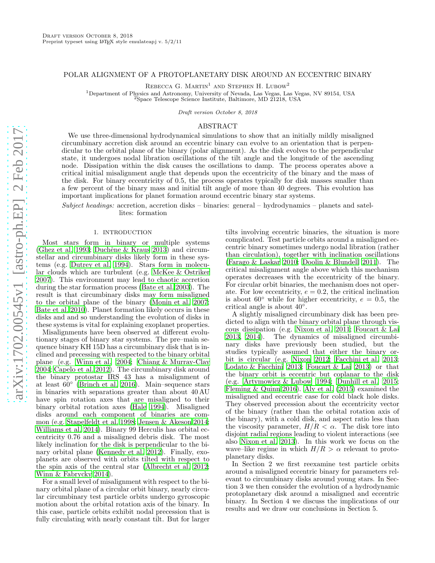## POLAR ALIGNMENT OF A PROTOPLANETARY DISK AROUND AN ECCENTRIC BINARY

REBECCA G. MARTIN<sup>1</sup> AND STEPHEN H. LUBOW<sup>2</sup>

<sup>1</sup>Department of Physics and Astronomy, University of Nevada, Las Vegas, Las Vegas, NV 89154, USA  $^{2}$ Space Telescope Science Institute, Baltimore, MD 21218, USA

Draft version October 8, 2018

### ABSTRACT

We use three-dimensional hydrodynamical simulations to show that an initially mildly misaligned circumbinary accretion disk around an eccentric binary can evolve to an orientation that is perpendicular to the orbital plane of the binary (polar alignment). As the disk evolves to the perpendicular state, it undergoes nodal libration oscillations of the tilt angle and the longitude of the ascending node. Dissipation within the disk causes the oscillations to damp. The process operates above a critical initial misalignment angle that depends upon the eccentricity of the binary and the mass of the disk. For binary eccentricity of 0.5, the process operates typically for disk masses smaller than a few percent of the binary mass and initial tilt angle of more than 40 degrees. This evolution has important implications for planet formation around eccentric binary star systems.

Subject headings: accretion, accretion disks – binaries: general – hydrodynamics – planets and satellites: formation

### 1. INTRODUCTION

Most stars form in binary or multiple systems [\(Ghez et al. 1993](#page-4-0); Duchêne  $&$  Kraus 2013) and circumstellar and circumbinary disks likely form in these systems (e.g. [Dutrey et al. 1994\)](#page-4-2). Stars form in molecular clouds which are turbulent (e.g. [McKee & Ostriker](#page-4-3) [2007\)](#page-4-3). This environment may lead to chaotic accretion during the star formation process [\(Bate et al. 2003](#page-4-4)). The result is that circumbinary disks may form misaligned to the orbital plane of the binary [\(Monin et al. 2007;](#page-4-5) [Bate et al. 2010](#page-4-6)). Planet formation likely occurs in these disks and and so understanding the evolution of disks in these systems is vital for explaining exoplanet properties.

Misalignments have been observed at different evolutionary stages of binary star systems. The pre–main sequence binary KH 15D has a circumbinary disk that is inclined and precessing with respected to the binary orbital plane (e.g. [Winn et al. 2004;](#page-4-7) [Chiang & Murray-Clay](#page-4-8) [2004;](#page-4-8) [Capelo et al. 2012](#page-4-9)). The circumbinary disk around the binary protostar IRS 43 has a misalignment of at least  $60^\circ$  [\(Brinch et al. 2016](#page-4-10)). Main–sequence stars in binaries with separations greater than about 40 AU have spin rotation axes that are misaligned to their binary orbital rotation axes [\(Hale 1994](#page-4-11)). Misaligned disks around each component of binaries are common (e.g. [Stapelfeldt et al. 1998](#page-4-12); [Jensen & Akeson 2014;](#page-4-13) [Williams et al. 2014\)](#page-4-14). Binary 99 Herculis has orbital eccentricity 0.76 and a misaligned debris disk. The most likely inclination for the disk is perpendicular to the binary orbital plane [\(Kennedy et al. 2012\)](#page-4-15). Finally, exoplanets are observed with orbits tilted with respect to the spin axis of the central star [\(Albrecht et al. 2012;](#page-4-16) [Winn & Fabrycky 2014\)](#page-4-17).

For a small level of misalignment with respect to the binary orbital plane of a circular orbit binary, nearly circular circumbinary test particle orbits undergo gyroscopic motion about the orbital rotation axis of the binary. In this case, particle orbits exhibit nodal precession that is fully circulating with nearly constant tilt. But for larger

tilts involving eccentric binaries, the situation is more complicated. Test particle orbits around a misaligned eccentric binary sometimes undergo nodal libration (rather than circulation), together with inclination oscillations [\(Farago & Laskar 2010;](#page-4-18) [Doolin & Blundell 2011](#page-4-19)). The critical misalignment angle above which this mechanism operates decreases with the eccentricity of the binary. For circular orbit binaries, the mechanism does not operate. For low eccentricity,  $e = 0.2$ , the critical inclination is about 60 $\degree$  while for higher eccentricity,  $e = 0.5$ , the critical angle is about  $40^\circ$ .

A slightly misaligned circumbinary disk has been predicted to align with the binary orbital plane through viscous dissipation (e.g. [Nixon et al. 2011;](#page-4-20) [Foucart & Lai](#page-4-21) [2013,](#page-4-21) [2014](#page-4-22)). The dynamics of misaligned circumbinary disks have previously been studied, but the studies typically assumed that either the binary orbit is circular (e.g. [Nixon 2012;](#page-4-23) [Facchini et al. 2013](#page-4-24); [Lodato & Facchini 2013](#page-4-25); [Foucart & Lai 2013\)](#page-4-21) or that the binary orbit is eccentric but coplanar to the disk (e.g. [Artymowicz & Lubow 1994;](#page-4-26) [Dunhill et al. 2015](#page-4-27); [Fleming & Quinn 2016\)](#page-4-28). [Aly et al. \(2015\)](#page-4-29) examined the misaligned and eccentric case for cold black hole disks. They observed precession about the eccentricity vector of the binary (rather than the orbital rotation axis of the binary), with a cold disk, and aspect ratio less than the viscosity parameter,  $H/R < \alpha$ . The disk tore into disjoint radial regions leading to violent interactions (see also [Nixon et al. 2013\)](#page-4-30). In this work we focus on the wave–like regime in which  $H/R > \alpha$  relevant to protoplanetary disks.

In Section 2 we first reexamine test particle orbits around a misaligned eccentric binary for parameters relevant to circumbinary disks around young stars. In Section 3 we then consider the evolution of a hydrodynamic protoplanetary disk around a misaligned and eccentric binary. In Section 4 we discuss the implications of our results and we draw our conclusions in Section 5.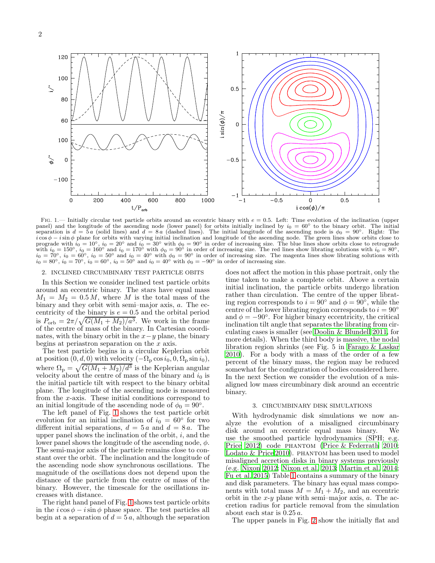

<span id="page-1-0"></span>FIG. 1.— Initially circular test particle orbits around an eccentric binary with  $e = 0.5$ . Left: Time evolution of the inclination (upper panel) and the longitude of the ascending node (lower panel) for orbits initially inclined by  $i_0 = 60^\circ$  to the binary orbit. The initial separation is  $d = 5a$  (solid lines) and  $d = 8a$  (dashed lines). The initial longitude of the ascending node is  $\phi_0 = 90^\circ$ . Right: The  $i\cos\phi - i\sin\phi$  plane for orbits with varying initial inclination and longitude of the ascending node. The green lines show orbits close to prograde with  $i_0 = 10°$ ,  $i_0 = 20°$  and  $i_0 = 30°$  with  $\phi_0 = 90°$  in order of increasing size. The blue lines show orbits close to retrograde with  $i_0 = 150°$ ,  $i_0 = 160°$  and  $i_0 = 170°$  with  $\phi_0 = 90°$  in order of increasing size. The red lines show librating solutions with  $i_0 = 80°$ ,  $i_0 = 70^\circ$ ,  $i_0 = 60^\circ$ ,  $i_0 = 50^\circ$  and  $i_0 = 40^\circ$  with  $\phi_0 = 90^\circ$  in order of increasing size. The magenta lines show librating solutions with  $i_0 = 80^\circ$ ,  $i_0 = 70^\circ$ ,  $i_0 = 60^\circ$ ,  $i_0 = 60^\circ$ ,  $i_0 = 50^\circ$  and  $i_0$ 

# 2. INCLINED CIRCUMBINARY TEST PARTICLE OBITS

In this Section we consider inclined test particle orbits around an eccentric binary. The stars have equal mass  $M_1 = M_2 = 0.5 M$ , where M is the total mass of the binary and they orbit with semi–major axis, a. The eccentricity of the binary is  $e = 0.5$  and the orbital period is  $P_{\text{orb}} = 2\pi/\sqrt{G(M_1 + M_2)/a^3}$ . We work in the frame of the centre of mass of the binary. In Cartesian coordinates, with the binary orbit in the  $x-y$  plane, the binary begins at periastron separation on the  $x$  axis.

The test particle begins in a circular Keplerian orbit at position  $(0, d, 0)$  with velocity  $(-\Omega_p \cos i_0, 0, \Omega_p \sin i_0),$ where  $\Omega_{\rm p} = \sqrt{G(M_1 + M_2)/d^3}$  is the Keplerian angular velocity about the centre of mass of the binary and  $i_0$  is the initial particle tilt with respect to the binary orbital plane. The longitude of the ascending node is measured from the x-axis. These initial conditions correspond to an initial longitude of the ascending node of  $\phi_0 = 90^\circ$ .

The left panel of Fig. [1](#page-1-0) shows the test particle orbit evolution for an initial inclination of  $i_0 = 60^\circ$  for two different initial separations,  $d = 5a$  and  $d = 8a$ . The upper panel shows the inclination of the orbit,  $i$ , and the lower panel shows the longitude of the ascending node,  $\phi$ . The semi-major axis of the particle remains close to constant over the orbit. The inclination and the longitude of the ascending node show synchronous oscillations. The magnitude of the oscillations does not depend upon the distance of the particle from the centre of mass of the binary. However, the timescale for the oscillations increases with distance.

The right hand panel of Fig. [1](#page-1-0) shows test particle orbits in the  $i \cos \phi - i \sin \phi$  phase space. The test particles all begin at a separation of  $d = 5a$ , although the separation

does not affect the motion in this phase portrait, only the time taken to make a complete orbit. Above a certain initial inclination, the particle orbits undergo libration rather than circulation. The centre of the upper librating region corresponds to  $i = 90^\circ$  and  $\phi = 90^\circ$ , while the centre of the lower librating region corresponds to  $i = 90°$ and  $\phi = -90^\circ$ . For higher binary eccentricity, the critical inclination tilt angle that separates the librating from circulating cases is smaller (see [Doolin & Blundell 2011,](#page-4-19) for more details). When the third body is massive, the nodal libration region shrinks (see Fig. 5 in [Farago & Laskar](#page-4-18) [2010\)](#page-4-18). For a body with a mass of the order of a few percent of the binary mass, the region may be reduced somewhat for the configuration of bodies considered here. In the next Section we consider the evolution of a misaligned low mass circumbinary disk around an eccentric binary.

## 3. CIRCUMBINARY DISK SIMULATIONS

With hydrodynamic disk simulations we now analyze the evolution of a misaligned circumbinary disk around an eccentric equal mass binary. We use the smoothed particle hydrodynamics (SPH; e.g. [Price 2012\)](#page-4-31) code phantom [\(Price & Federrath 2010](#page-4-32); Lodato  $&$  Price 2010). PHANTOM has been used to model misaligned accretion disks in binary systems previously (e.g. [Nixon 2012;](#page-4-23) [Nixon et al. 2013;](#page-4-30) [Martin et al. 2014](#page-4-34); [Fu et al. 2015\)](#page-4-35) Table [1](#page-3-0) contains a summary of the binary and disk parameters. The binary has equal mass components with total mass  $M = M_1 + M_2$ , and an eccentric orbit in the  $x-y$  plane with semi-major axis,  $a$ . The accretion radius for particle removal from the simulation about each star is 0.25 a.

The upper panels in Fig. [2](#page-2-0) show the initially flat and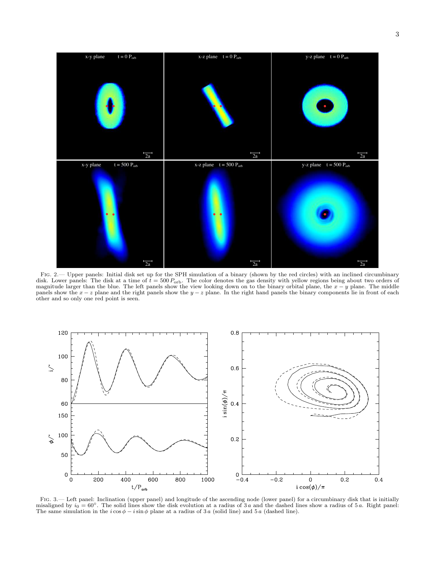

<span id="page-2-0"></span>Fig. 2.— Upper panels: Initial disk set up for the SPH simulation of a binary (shown by the red circles) with an inclined circumbinary disk. Lower panels: The disk at a time of  $t = 500 P_{\text{orb}}$ . The color denotes the gas density with yellow regions being about two orders of magnitude larger than the blue. The left panels show the view looking down on to t panels show the  $x - z$  plane and the right panels show the  $y - z$  plane. In the right hand panels the binary components lie in front of each other and so only one red point is seen.



<span id="page-2-1"></span>Fig. 3.— Left panel: Inclination (upper panel) and longitude of the ascending node (lower panel) for a circumbinary disk that is initially misaligned by  $i_0 = 60°$ . The solid lines show the disk evolution at a radius of 3 a and the dashed lines show a radius of 5 a. Right panel: The same simulation in the  $i \cos \phi - i \sin \phi$  plane at a radius of 3 a (solid line) and 5 a (dashed line).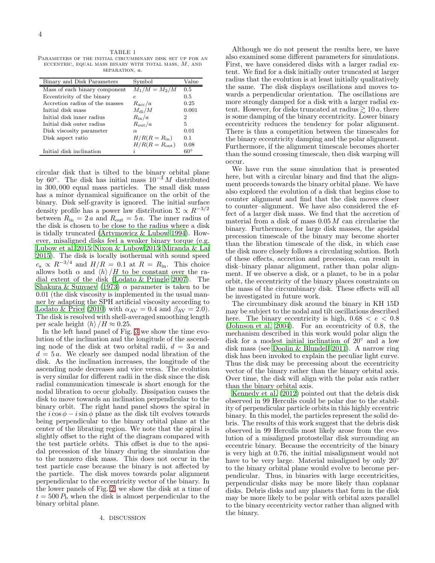<span id="page-3-0"></span>TABLE 1 Parameters of the initial circumbinary disk set up for an ECCENTRIC, EQUAL MASS BINARY WITH TOTAL MASS,  $M$ , AND separation, a.

| Binary and Disk Parameters     | Symbol                    | Value        |
|--------------------------------|---------------------------|--------------|
| Mass of each binary component  | $M_1/M = M_2/M$           | 0.5          |
| Eccentricity of the binary     | e                         | 0.5          |
| Accretion radius of the masses | $R_{\rm acc}/a$           | 0.25         |
| Initial disk mass              | $M_{\rm di}/M$            | 0.001        |
| Initial disk inner radius      | $R_{\rm in}/a$            | 2            |
| Initial disk outer radius      | $R_{\rm out}/a$           | 5            |
| Disk viscosity parameter       | $\alpha$                  | 0.01         |
| Disk aspect ratio              | $H/R(R=R_{\rm in})$       | 0.1          |
|                                | $H/R(R = R_{\text{out}})$ | 0.08         |
| Initial disk inclination       |                           | $60^{\circ}$ |

circular disk that is tilted to the binary orbital plane by 60°. The disk has initial mass  $10^{-3} M$  distributed in 300, 000 equal mass particles. The small disk mass has a minor dynamical significance on the orbit of the binary. Disk self-gravity is ignored. The initial surface density profile has a power law distribution  $\Sigma \propto R^{-3/2}$ between  $R_{\rm in} = 2 a$  and  $R_{\rm out} = 5 a$ . The inner radius of the disk is chosen to be close to the radius where a disk is tidally truncated [\(Artymowicz & Lubow 1994\)](#page-4-26). However, misaligned disks feel a weaker binary torque (e.g. [Lubow et al. 2015;](#page-4-36) [Nixon & Lubow 2015;](#page-4-37) [Miranda & Lai](#page-4-38) [2015\)](#page-4-38). The disk is locally isothermal with sound speed  $c_s \propto R^{-3/4}$  and  $H/R = 0.1$  at  $R = R_{\rm in}$ . This choice allows both  $\alpha$  and  $\langle h \rangle /H$  to be constant over the radial extent of the disk [\(Lodato & Pringle 2007\)](#page-4-39). The [Shakura & Sunyaev \(1973\)](#page-4-40)  $\alpha$  parameter is taken to be 0.01 (the disk viscosity is implemented in the usual manner by adapting the SPH artificial viscosity according to [Lodato & Price \(2010\)](#page-4-33) with  $\alpha_{AV} = 0.4$  and  $\beta_{AV} = 2.0$ ). The disk is resolved with shell-averaged smoothing length per scale height  $\langle h \rangle /H \approx 0.25$ .

In the left hand panel of Fig. [3](#page-2-1) we show the time evolution of the inclination and the longitude of the ascending node of the disk at two orbital radii,  $d = 3a$  and  $d = 5a$ . We clearly see damped nodal libration of the disk. As the inclination increases, the longitude of the ascending node decreases and vice versa. The evolution is very similar for different radii in the disk since the disk radial communication timescale is short enough for the nodal libration to occur globally. Dissipation causes the disk to move towards an inclination perpendicular to the binary orbit. The right hand panel shows the spiral in the  $i \cos \phi - i \sin \phi$  plane as the disk tilt evolves towards being perpendicular to the binary orbital plane at the center of the librating region. We note that the spiral is slightly offset to the right of the diagram compared with the test particle orbits. This offset is due to the apsidal precession of the binary during the simulation due to the nonzero disk mass. This does not occur in the test particle case because the binary is not affected by the particle. The disk moves towards polar alignment perpendicular to the eccentricity vector of the binary. In the lower panels of Fig. [2,](#page-2-0) we show the disk at a time of  $t = 500 P_{\rm b}$  when the disk is almost perpendicular to the binary orbital plane.

Although we do not present the results here, we have also examined some different parameters for simulations. First, we have considered disks with a larger radial extent. We find for a disk initially outer truncated at larger radius that the evolution is at least initially qualitatively the same. The disk displays oscillations and moves towards a perpendicular orientation. The oscillations are more strongly damped for a disk with a larger radial extent. However, for disks truncated at radius  $\gtrsim 10 a$ , there is some damping of the binary eccentricity. Lower binary eccentricity reduces the tendency for polar alignment. There is thus a competition between the timescales for the binary eccentricity damping and the polar alignment. Furthermore, if the alignment timescale becomes shorter than the sound crossing timescale, then disk warping will occur.

We have run the same simulation that is presented here, but with a circular binary and find that the alignment proceeds towards the binary orbital plane. We have also explored the evolution of a disk that begins close to counter alignment and find that the disk moves closer to counter–alignment. We have also considered the effect of a larger disk mass. We find that the accretion of material from a disk of mass  $0.05 M$  can circularise the binary. Furthermore, for large disk masses, the apsidal precession timescale of the binary may become shorter than the libration timescale of the disk, in which case the disk more closely follows a circulating solution. Both of these effects, accretion and precession, can result in disk–binary planar alignment, rather than polar alignment. If we observe a disk, or a planet, to be in a polar orbit, the eccentricity of the binary places constraints on the mass of the circumbinary disk. These effects will all be investigated in future work.

The circumbinary disk around the binary in KH 15D may be subject to the nodal and tilt oscillations described here. The binary eccentricity is high,  $0.68 < e < 0.8$ [\(Johnson et al. 2004\)](#page-4-41). For an eccentricity of 0.8, the mechanism described in this work would polar align the disk for a modest initial inclination of 20◦ and a low disk mass (see [Doolin & Blundell 2011\)](#page-4-19). A narrow ring disk has been invoked to explain the peculiar light curve. Thus the disk may be precessing about the eccentricity vector of the binary rather than the binary orbital axis. Over time, the disk will align with the polar axis rather than the binary orbital axis.

[Kennedy et al. \(2012](#page-4-15)) pointed out that the debris disk observed in 99 Herculis could be polar due to the stability of perpendicular particle orbits in this highly eccentric binary. In this model, the particles represent the solid debris. The results of this work suggest that the debris disk observed in 99 Herculis most likely arose from the evolution of a misaligned protostellar disk surrounding an eccentric binary. Because the eccentricity of the binary is very high at 0.76, the initial misalignment would not have to be very large. Material misaligned by only 20<sup>°</sup> to the binary orbital plane would evolve to become perpendicular. Thus, in binaries with large eccentricities, perpendicular disks may be more likely than coplanar disks. Debris disks and any planets that form in the disk may be more likely to be polar with orbital axes parallel to the binary eccentricity vector rather than aligned with the binary.